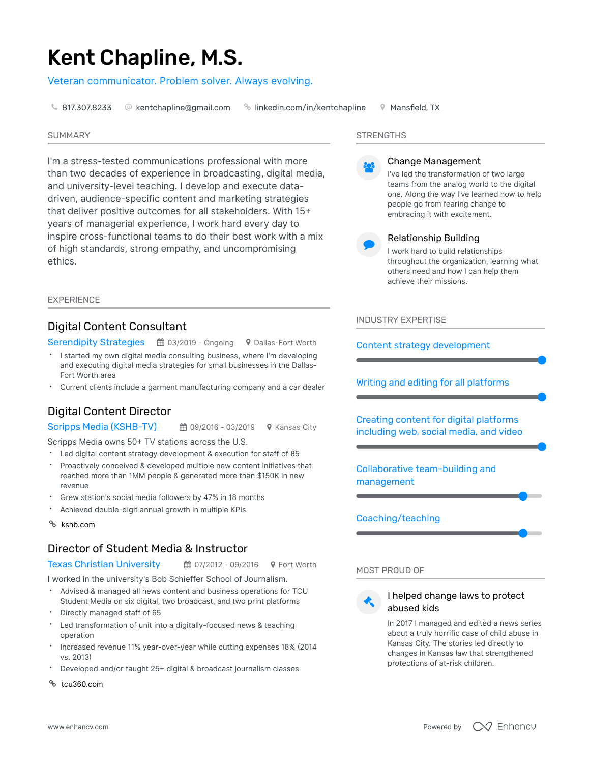# Kent Chapline, M.S.

Veteran communicator. Problem solver. Always evolving.

 $\, \mathbin{\text{I}}\,$  [817.307.8233](tel:817.307.8233)  $\,$  @ [kentchapline@gmail.com](mailto:kentchapline@gmail.com)  $\,$   $\,$   $\,$   $\,$  [linkedin.com/in/kentchapline](http://linkedin.com/in/kentchapline)  $\,$   $\,$   $\,$   $\,$  Mansfield, TX  $\,$ 

#### SUMMARY

I'm a stress-tested communications professional with more than two decades of experience in broadcasting, digital media, and university-level teaching. I develop and execute datadriven, audience-specific content and marketing strategies that deliver positive outcomes for all stakeholders. With 15 years of managerial experience, I work hard every day to inspire cross-functional teams to do their best work with a mix of high standards, strong empathy, and uncompromising ethics.

#### EXPERIENCE

## Digital Content Consultant

Serendipity Strategies ■ 03/2019 - Ongoing ♥ Dallas-Fort Worth

- I started my own digital media consulting business, where I'm developing and executing digital media strategies for small businesses in the Dallas-Fort Worth area
- $\bullet$ Current clients include a garment manufacturing company and a car dealer

# Digital Content Director

■ 09/2016 - 03/2019 **9** Kansas City Scripps Media (KSHB-TV)

Scripps Media owns 50+ TV stations across the U.S.

- Led digital content strategy development & execution for staff of 85
- Proactively conceived & developed multiple new content initiatives that reached more than 1MM people & generated more than \$150K in new revenue
- Grew station's social media followers by 47% in 18 months
- Achieved double-digit annual growth in multiple KPIs
- > [kshb.com](http://kshb.com/)

# Director of Student Media & Instructor

Texas Christian University 曲 07/2012 - 09/2016 9 Fort Worth

I worked in the university's Bob Schieffer School of Journalism.

- Advised & managed all news content and business operations for TCU Student Media on six digital, two broadcast, and two print platforms
- $\bullet$ Directly managed staff of 65
- $\bullet$ Led transformation of unit into a digitally-focused news & teaching operation
- Increased revenue 11% year-over-year while cutting expenses 18% (2014 vs. 2013
- Developed and/or taught 25+ digital & broadcast journalism classes
- > [tcu360.com](http://tcu360.com/)

## **STRENGTHS**



#### Change Management

I've led the transformation of two large teams from the analog world to the digital one. Along the way I've learned how to help people go from fearing change to embracing it with excitement.



## Relationship Building

I work hard to build relationships throughout the organization, learning what others need and how I can help them achieve their missions.

INDUSTRY EXPERTISE

Content strategy development

Writing and editing for all platforms

Creating content for digital platforms including web, social media, and video

Collaborative team-building and management

Coaching/teaching

MOST PROUD OF



## I helped change laws to protect abused kids

In 2017 I managed and edited a news [series](https://bit.ly/2ifr40w) about a truly horrific case of child abuse in Kansas City. The stories led directly to changes in Kansas law that strengthened protections of at-risk children.